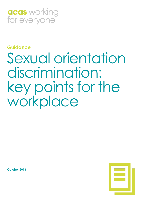

# **Guidance**

# Sexual orientation discrimination: key points for the workplace

**October 2016**

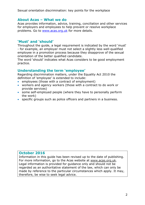#### **About Acas – What we do**

Acas provides information, advice, training, conciliation and other services for employers and employees to help prevent or resolve workplace problems. Go to [www.acas.org.uk](http://www.acas.org.uk/) for more details.

## **'Must' and 'should'**

Throughout the guide, a legal requirement is indicated by the word 'must' - for example, an employer must not select a slightly less well-qualified employee in a promotion process because they disapprove of the sexual orientation of the better qualified candidate.

The word 'should' indicates what Acas considers to be good employment practice.

## **Understanding the term 'employee'**

Regarding discrimination matters, under the Equality Act 2010 the definition of 'employee' is extended to include:

- employees (those with a contract of employment)
- workers and agency workers (those with a contract to do work or provide services)
- some self-employed people (where they have to personally perform the work)
- specific groups such as police officers and partners in a business.

## **October 2016**

Information in this guide has been revised up to the date of publishing. For more information, go to the Acas website at www.acas.org.uk. Legal information is provided for guidance only and should not be regarded as an authoritative statement of the law, which can only be made by reference to the particular circumstances which apply. It may, therefore, be wise to seek legal advice.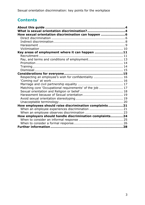# **Contents**

| How sexual orientation discrimination can happen 6       |  |
|----------------------------------------------------------|--|
|                                                          |  |
|                                                          |  |
|                                                          |  |
|                                                          |  |
| Key areas of employment where it can happen 11           |  |
|                                                          |  |
| Pay, and terms and conditions of employment 13           |  |
|                                                          |  |
|                                                          |  |
|                                                          |  |
|                                                          |  |
| Respecting an employee's wish for confidentiality  16    |  |
|                                                          |  |
|                                                          |  |
| Matching core 'Occupational requirements' of the job  17 |  |
|                                                          |  |
|                                                          |  |
|                                                          |  |
|                                                          |  |
| How employees should raise discrimination complaints21   |  |
|                                                          |  |
|                                                          |  |
| How employers should handle discrimination complaints24  |  |
|                                                          |  |
|                                                          |  |
|                                                          |  |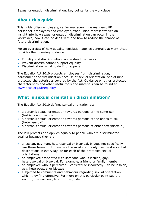# <span id="page-3-0"></span>**About this guide**

This guide offers employers, senior managers, line mangers, HR personnel, employees and employee/trade union representatives an insight into how sexual orientation discrimination can occur in the workplace, how it can be dealt with and how to reduce the chance of future discrimination.

For an overview of how equality legislation applies generally at work, Acas provides the following guidance:

- Equality and discrimination: understand the basics
- Prevent discrimination: support equality
- Discrimination: what to do if it happens.

The Equality Act 2010 protects employees from discrimination, harassment and victimisation because of sexual orientation, one of nine protected characteristics covered by the Act. Guidance on other protected characteristics and other useful tools and materials can be found at [www.acas.org.uk/equality](http://www.acas.org.uk/equality) 

# <span id="page-3-1"></span>**What is sexual orientation discrimination?**

The Equality Act 2010 defines sexual orientation as:

- a person's sexual orientation towards persons of the same-sex (lesbians and gay men)
- a person's sexual orientation towards persons of the opposite sex (heterosexual)
- a person's sexual orientation towards persons of either sex (bisexual).

The law protects and applies equally to people who are discriminated against because they are:

- a lesbian, gay man, heterosexual or bisexual. It does not specifically use these terms, but these are the most commonly used and accepted descriptions in everyday life for each of the protected sexual orientations
- an employee associated with someone who is lesbian, gay, heterosexual or bisexual. For example, a friend or family member
- an employee who is perceived correctly or incorrectly to be lesbian, gay, heterosexual or bisexual
- subjected to comments and behaviour regarding sexual orientation which they find offensive. For more on this particular point see the section, Harassment, later in this guide.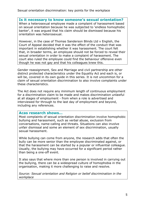**Is it necessary to know someone's sexual orientation?** When a heterosexual employee made a complaint of harassment based on sexual orientation because he was subjected to 'endless homophobic banter', it was argued that his claim should be dismissed because his orientation was heterosexual.

However, in the case of Thomas Sanderson Blinds Ltd v English, the Court of Appeal decided that it was the effect of the conduct that was important in establishing whether it was harassment. The court felt that, in broader terms, an employee should not be forced to reveal their sexual orientation in order to make a complaint of harassment. The court also ruled the employee could find the behaviour offensive even though he was not gay and that his colleagues knew this.

Gender reassignment, Sex and Marriage and civil partnership are other distinct protected characteristics under the Equality Act and each is, or will be, covered in its own guide in this series. It is not uncommon for a claim of sexual orientation discrimination to also involve complaints under these characteristics.

The Act does not require any minimum length of continuous employment for a discrimination claim to be made and makes discrimination unlawful at all stages of employment - from when a role is advertised and interviewed for through to the last day of employment and beyond, including any references.

## **Acas research shows…**

Most complaints of sexual orientation discrimination involve homophobic bullying and harassment, such as verbal abuse, exclusion from conversations, name-calling and threats. Situations can also involve unfair dismissal and some an element of sex discrimination, usually sexual harassment.

While bullying can come from anyone, the research adds that often the bully can be more senior than the employee discriminated against, or that the harassment can be started by a popular or influential colleague. Usually, the bullying may have occurred for a significant period rather than being a one-off event.

It also says that where more than one person is involved in carrying out the bullying, there can be a widespread culture of homophobia in the organisation, making it more challenging to raise and resolve.

*Source: Sexual orientation and Religion or belief discrimination in the workplace*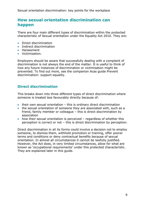# <span id="page-5-0"></span>**How sexual orientation discrimination can happen**

There are four main different types of discrimination within the protected characteristic of Sexual orientation under the Equality Act 2010. They are:

- Direct discrimination
- Indirect discrimination
- Harassment
- Victimisation.

Employers should be aware that successfully dealing with a complaint of discrimination is not always the end of the matter. It is useful to think of how any future instances of discrimination or victimisation might be prevented. To find out more, see the companion Acas guide Prevent discrimination: support equality.

## <span id="page-5-1"></span>**Direct discrimination**

This breaks down into three different types of direct discrimination where someone is treated less favourably directly because of:

- their own sexual orientation this is ordinary direct discrimination
- the sexual orientation of someone they are associated with, such as a friend, family member or colleague – this is direct discrimination by association
- how their sexual orientation is perceived regardless of whether this perception is correct or not – this is direct discrimination by perception.

Direct discrimination in all its forms could involve a decision not to employ someone, to dismiss them, withhold promotion or training, offer poorer terms and conditions or deny contractual benefits because of sexual orientation. In almost all circumstances it cannot be lawfully justified. However, the Act does, in very limited circumstances, allow for what are known as 'occupational requirements' under this protected characteristic. They are explained later in this guide.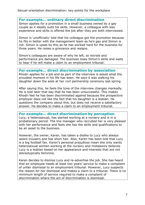#### **For example… ordinary direct discrimination**

Simon applies for a promotion in a small business owned by a gay couple as it ideally suits his skills. However, a colleague with less experience and skills is offered the job after they are both interviewed.

Simon is 'unofficially' told that his colleague got the promotion because he fits in better with the management team as he's gay and Simon is not. Simon is upset by this as he has worked hard for the business for three years. He raises a grievance and resigns.

Simon's colleagues are aware of why he left, so morale and performance are damaged. The business loses Simon's skills and waits to hear if he will make a claim to an employment tribunal.

## **For example… direct discrimination by association**

Rhodri applies for a job and as part of the interview is asked what the proudest moment in his life has been. He says it was walking his daughter down the aisle at her civil partnership ceremony last spring.

After saying this, he feels the tone of the interview changes markedly. He is told later that day that he has been unsuccessful. This makes Rhodri feel he has been discriminated against because the prospective employer does not like the fact that his daughter is a lesbian. He questions the company about this, but does not receive a satisfactory answer. He decides to make a claim to an employment tribunal.

#### **For example… direct discrimination by perception**

Lucy, a heterosexual, has started working at a nursery and is in a probationary period. The line manager who recruited her is very pleased with her performance and feels she has the skills and qualifications to be an asset to the business.

However, the owner, Karen, has taken a dislike to Lucy who always wears trousers and has short hair. Also, Karen has been told that Lucy is a big football fan. Karen's personal prejudices mean she only wants heterosexual women working at the nursery and mistakenly believes Lucy is a lesbian based on her appearance and interests that are not stereotypically feminine.

Karen decides to dismiss Lucy and re-advertise the job. She has heard that an employee needs at least two years' service to make a complaint of unfair dismissal to an employment tribunal. However, Lucy suspects the reason for her dismissal and makes a claim to a tribunal. There is no minimum length of service required to make a complaint of discrimination where the act of discrimination is dismissal.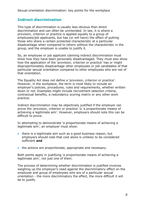## <span id="page-7-0"></span>**Indirect discrimination**

This type of discrimination is usually less obvious than direct discrimination and can often be unintended. In law, it is where a provision, criterion or practice is applied equally to a group of employees/job applicants, but has (or will have) the effect of putting those who share a certain protected characteristic at a particular disadvantage when compared to others without the characteristic in the group, and the employer is unable to justify it.

So, an employee or job applicant claiming indirect discrimination must show how they have been personally disadvantaged. They must also show how the application of the 'provision, criterion or practice' has or might disproportionately disadvantage other employees or job candidates of that particular sexual orientation compared to other employees who are not of that orientation.

The Equality Act does not define a 'provision, criterion or practice'. However, in the workplace, the term is most likely to include an employer's policies, procedures, rules and requirements, whether written down or not. Examples might include recruitment selection criteria, contractual benefits, a redundancy scoring matrix or any other work practice.

Indirect discrimination may be objectively justified if the employer can prove the 'provision, criterion or practice' is 'a proportionate means of achieving a legitimate aim'. However, employers should note this can be difficult to prove.

In attempting to demonstrate 'a proportionate means of achieving a legitimate aim', an employer must show:

- there is a legitimate aim such as a good business reason, but employers should note that cost alone is unlikely to be considered sufficient **and**
- the actions are proportionate, appropriate and necessary.

Both points apply in justifying 'a proportionate means of achieving a legitimate aim', not just one of them.

The process of determining whether discrimination is justified involves weighing up the employer's need against the discriminatory effect on the employee and group of employees who are of a particular sexual orientation - the more discriminatory the effect, the more difficult it will be to justify.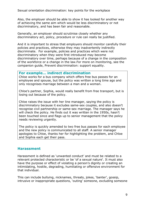Also, the employer should be able to show it has looked for another way of achieving the same aim which would be less discriminatory or not discriminatory, and has been fair and reasonable.

Generally, an employer should scrutinise closely whether any discriminatory act, policy, procedure or rule can really be justified.

And it is important to stress that employers should monitor carefully their policies and practices, otherwise they may inadvertently indirectly discriminate. For example, policies and practices which were not discriminatory when they were first introduced may become discriminatory over time, perhaps because of a change in the composition of the workforce or a change in the law.For more on monitoring, see the companion guide, Prevent discrimination: support equality.

#### **For example… indirect discrimination**

Chloe works for a bus company which offers free bus passes for an employee and spouse, but the policy was written a long time ago and only recognises marriage between a man and a woman.

Chloe's partner, Sophia, would really benefit from free transport, but is losing out because of the policy.

Chloe raises the issue with her line manager, saying the policy is discriminatory because it excludes same-sex couples, and also doesn't recognise civil partnership or same-sex marriage. The manager says he will check the policy. He finds out it was written in the 1950s, hasn't been touched since and flags up to senior management that the policy needs reviewing urgently.

The policy is quickly amended to two free bus passes for each employee and the new policy is communicated to all staff. A senior manager apologies to Chloe, thanks her for highlighting the problem, and Chloe and Sophia each get their pass.

## <span id="page-8-0"></span>**Harassment**

Harassment is defined as 'unwanted conduct' and must be related to a relevant protected characteristic or be 'of a sexual nature'. It must also have the purpose or effect of violating a person's dignity or creating an intimidating, hostile, degrading, humiliating or offensive environment for that individual.

This can include bullying, nicknames, threats, jokes, 'banter', gossip, intrusive or inappropriate questions, 'outing' someone, excluding someone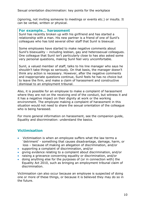(ignoring, not inviting someone to meetings or events etc.) or insults. It can be verbal, written or physical.

#### **For example… harassment**

Sunil has recently broken up with his girlfriend and has started a relationship with a man. His new partner is a friend of one of Sunil's colleagues who has told several other staff that Sunil is bisexual.

Some employees have started to make negative comments about Sunil's bisexuality – including lesbian, gay and heterosexual colleagues. One colleague that Sunil isn't particularly close to has also asked some very personal questions, making Sunil feel very uncomfortable.

Sunil, a valued member of staff, talks to his line manager who says he shouldn't take things so seriously. On that basis, the manager doesn't think any action is necessary. However, after the negative comments and inappropriate questions continue, Sunil feels he has no choice but to leave the firm, and make a claim of harassment and constructive dismissal to an employment tribunal.

Also, it is possible for an employee to make a complaint of harassment where they are not on the receiving end of the conduct, but witness it and it has a negative impact on their dignity at work or the working environment. The employee making a complaint of harassment in this situation would not need to share the sexual orientation of the colleague who is being harassed.

For more general information on harassment, see the companion guide, Equality and discrimination: understand the basics.

## <span id="page-9-0"></span>**Victimisation**

- Victimisation is when an employee suffers what the law terms a 'detriment' - something that causes disadvantage, damage, harm, or loss – because of:making an allegation of discrimination, and/or
- supporting a complaint of discrimination, and/or
- giving evidence relating to a complaint about discrimination, and/or
- raising a grievance concerning equality or discrimination, and/or
- doing anything else for the purposes of (or in connection with) the Equality Act 2010, such as bringing an employment tribunal claim of discrimination.

Victimisation can also occur because an employee is suspected of doing one or more of these things, or because it is believed they may do so in the future.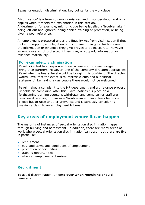'Victimisation' is a term commonly misused and misunderstood, and only applies when it meets the explanation in this section.

A 'detriment', for example, might include being labelled a 'troublemaker', being left out and ignored, being denied training or promotion, or being given a poor reference.

An employee is protected under the Equality Act from victimisation if they make, or support, an allegation of discrimination in good faith – even if the information or evidence they give proves to be inaccurate. However, an employee is not protected if they give, or support, information or evidence maliciously.

#### **For example… victimisation**

Pavel is invited to a corporate dinner where staff are encouraged to bring their partners. However, one of the company directors approaches Pavel when he hears Pavel would be bringing his boyfriend. The director warns Pavel that the event is to impress clients and a 'political statement' like having a gay couple there would not be welcomed.

Pavel makes a complaint to the HR department and a grievance process upholds his complaint. After this, Pavel notices his place on a forthcoming training course is withdrawn and some senior staff are overheard referring to him as a 'troublemaker'. Pavel feels he has no choice but to raise another grievance and is seriously considering making a claim to an employment tribunal.

# <span id="page-10-0"></span>**Key areas of employment where it can happen**

The majority of instances of sexual orientation discrimination happen through bullying and harassment. In addition, there are many areas of work where sexual orientation discrimination can occur, but there are five in particular:

- recruitment
- pay, and terms and conditions of employment
- promotion opportunities
- **•** training opportunities
- when an employee is dismissed.

## <span id="page-10-1"></span>**Recruitment**

To avoid discrimination, an **employer when recruiting should** generally: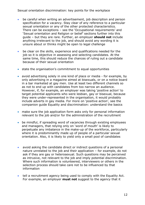- be careful when writing an advertisement, job description and person specification for a vacancy. Stay clear of any reference to a particular sexual orientation or any of the other protected characteristics. There can be exceptions – see the 'Occupational requirements' and 'Sexual orientation and Religion or belief' sections further into this guide – but they are rare. Further, an employer **should not** include anything irrelevant to the job, and should avoid any wording it is unsure about or thinks might be open to legal challenge
- be clear on the skills, experience and qualifications needed for the job so it is objective in assessing and selecting candidates. At the same time, this should reduce the chances of ruling out a candidate because of their sexual orientation
- state the organisation's commitment to equal opportunities
- avoid advertising solely in one kind of place or media for example, by only advertising in a magazine aimed at bisexuals, or on a notice board in a bar marketed at gay men. Use at least two different channels so as not to end up with candidates from too narrow an audience. However, if, for example, an employer was taking 'positive action' to target potential applicants who were lesbian, gay or bisexual, because they were under-represented in the organisation, it would probably include adverts in gay media. For more on 'positive action', see the companion guide Equality and discrimination: understand the basics
- make sure the job application form asks only for personal information relevant to the job and/or for the administration of the recruitment
- be mindful, if spreading word of vacancies through existing employees and managers, that relying only on 'word of mouth' is likely to perpetuate any imbalance in the make-up of the workforce, particularly where it is predominantly made up of people of a particular sexual orientation. Also, it is likely to yield only a small pool of candidates
- avoid asking the candidate direct or indirect questions of a personal nature unrelated to the job and their application – for example, do not ask if they are gay or heterosexual. Such questions may be perceived as intrusive, not relevant to the job and imply potential discrimination. Where such information is volunteered, interviewers or others in the selection process should take care not to be influenced by that information
- tell a recruitment agency being used to comply with the Equality Act. For example, an employer **must not** suggest to the agency that it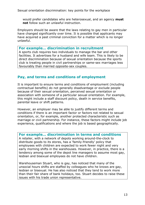would prefer candidates who are heterosexual, and an agency **must not** follow such an unlawful instruction.

Employers should be aware that the laws relating to gay men in particular have changed significantly over time. It is possible that applicants may have acquired a past criminal conviction for a matter which is no longer unlawful.

#### **For example… discrimination in recruitment**

A sports club requires two individuals to manage the bar and other facilities. It advertises for a husband and wife team. This is likely to be direct discrimination because of sexual orientation because the sports club is treating people in civil partnerships or same-sex marriages less favourably than married opposite-sex couples.

## <span id="page-12-0"></span>**Pay, and terms and conditions of employment**

It is important to ensure terms and conditions of employment (including contractual benefits) do not generally disadvantage or exclude people because of their sexual orientation, perceived sexual orientation or association with someone of a particular sexual orientation. For example, this might include a staff discount policy, death in service benefits, parental leave or shift patterns.

However, an employer may be able to justify different terms and conditions if there is an important factor or factors not related to sexual orientation, or, for example, another protected characteristic such as marriage or civil partnership. For instance, these factors might include job experience, qualifications and where the job is based geographically.

#### **For example… discrimination in terms and conditions**

A retailer, with a network of depots working around-the-clock to distribute goods to its stores, has a 'family-friendly' policy that employees with children are expected to work fewer night and very early morning shifts in the warehouses. However, in practice, there is a tendency among some of the depot line managers to assume most gay, lesbian and bisexual employees do not have children.

Warehouseman Stuart, who is gay, has noticed that many of the unsocial hours shifts are staffed by colleagues who he knows are gay, lesbian or bisexual. He has also noticed that they tend to work more than their fair share of bank holidays, too. Stuart decides to raise these issues with his trade union representative.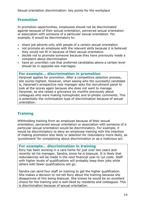## <span id="page-13-0"></span>**Promotion**

In promotion opportunities, employees should not be discriminated against because of their sexual orientation, perceived sexual orientation or association with someone of a particular sexual orientation. For example, it would be discriminatory to:

- share job adverts only with people of a certain sexual orientation
- not promote an employee with the relevant skills because it is believed they would not fit in because of their sexual orientation
- decide not to promote someone because they have previously made a complaint about discrimination
- have an unwritten rule that preferred candidates above a certain level should be in opposite-sex marriages.

## **For example… discrimination in promotion**

Harpreet applies for promotion. After a competitive selection process, she scores highest. However, when seeing who the successful candidate is, Harpreet's prospective new manager asks the recruitment panel to look at the scores again because she does not want to manage Harpreet, as she raised a grievance six months previously about colleagues who were making homophobic and bi-phobic comments. This is potentially the victimisation type of discrimination because of sexual orientation.

# <span id="page-13-1"></span>**Training**

Withholding training from an employee because of their sexual orientation, perceived sexual orientation or association with someone of a particular sexual orientation would be discriminatory. For example, it would be discriminatory to deny an employee training with the intention of making promotion less likely or selection for redundancy more likely, as 'punishment' for complaining about discrimination or as a malicious act.

## **For example… discrimination in training**

Rory has been working in a care home for just over two years and recently let his manager, Sandra, know he is bisexual. It is likely that redundancies will be made in the next financial year to cut costs. Staff with higher levels of qualifications will probably keep their jobs while others with fewer qualifications will go.

Sandra can send four staff on training to get the higher qualification. She makes a decision to not tell Rory about the training because she disapproves of him being bisexual. She knows he would be an excellent choice for the training and is well-liked by residents and colleagues. This is discrimination because of sexual orientation.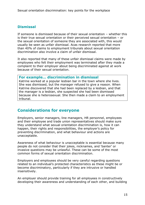## <span id="page-14-0"></span>**Dismissal**

If someone is dismissed because of their sexual orientation – whether this is their true sexual orientation or their perceived sexual orientation – or the sexual orientation of someone they are associated with, this would usually be seen as unfair dismissal. Acas research reported that more than 40% of claims to employment tribunals about sexual orientation discrimination also involve a claim of unfair dismissal.

It also reported that many of these unfair dismissal claims were made by employees who felt their employment was terminated after they made a complaint to their employer about being discriminated against at work because of their sexual orientation.

**For example… discrimination in dismissal**

Katrine worked at a popular lesbian bar in the town where she lives. She was dismissed, but the manager refused to give a reason. When Katrine discovered that she had been replaced by a lesbian, and that the manager is a lesbian, she suspected she had been dismissed because she is heterosexual. She then made a claim to an employment tribunal.

# <span id="page-14-1"></span>**Considerations for everyone**

Employers, senior managers, line managers, HR personnel, employees and their employee and trade union representatives should make sure they understand what sexual orientation discrimination is, how it can happen, their rights and responsibilities, the employer's policy for preventing discrimination, and what behaviour and actions are unacceptable.

Awareness of what behaviour is unacceptable is essential because many people do not consider that their jokes, nicknames, and 'banter' or invasive questions may be unlawful. These can be some of the most common forms of sexual orientation discrimination.

Employers and employees should be very careful regarding questions related to an individual's protected characteristics as these might be or become discriminatory, particularly if they are intrusive or handled insensitively.

An employer should provide training for all employees in constructively developing their awareness and understanding of each other, and building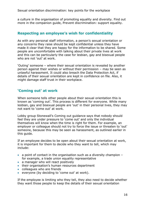a culture in the organisation of promoting equality and diversity. Find out more in the companion guide, Prevent discrimination: support equality.

## <span id="page-15-0"></span>**Respecting an employee's wish for confidentiality**

As with any personal staff information, a person's sexual orientation or any concerns they raise should be kept confidential unless they have made it clear that they are happy for the information to be shared. Some people are uncomfortable with talking about their private lives at work and this can be particularly the case for lesbian, gay and bisexual people who are not 'out' at work.

'Outing' someone – where their sexual orientation is revealed by another person against their wishes or without their permission – may be seen as unlawful harassment. It could also breach the Data Protection Act, if details of their sexual orientation are kept in confidence on file. Also, it might damage staff trust in their workplace.

## <span id="page-15-1"></span>**'Coming out' at work**

When someone tells other people about their sexual orientation this is known as 'coming out'. This process is different for everyone. While many lesbian, gay and bisexual people are 'out' in their personal lives, they may not want to 'come out' at work.

Lobby group Stonewall's Coming out guidance says that nobody should feel they are under pressure to 'come out' and only the individual themselves will know when the time is right for them. For example, an employer or colleague should not try to force the issue or threaten to 'out' someone, because this may be seen as harassment, as outlined earlier in this guide.

If an employee decides to be open about their sexual orientation at work, it is important for them to decide who they want to tell, which may include:

- a point of contact in the organisation such as a diversity champion  $$ for example, a trade union equality representative
- a manager who will react positively
- their organisation's human resources department
- colleagues who are friends
- everyone (by deciding to 'come out' at work).

If the employee is limiting who they tell, they also need to decide whether they want those people to keep the details of their sexual orientation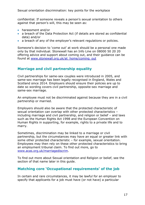confidential. If someone reveals a person's sexual orientation to others against that person's will, this may be seen as:

- harassment and/or
- a breach of the Data Protection Act (if details are stored as confidential data) and/or
- a breach of any of the employer's relevant regulations or policies.

Someone's decision to 'come out' at work should be a personal one made only by that individual. Stonewall has an Info Line on 08000 50 20 20 offering advice and support about coming out, and their guidance can be found at [www.stonewall.org.uk/at\\_home/coming\\_out](http://www.stonewall.org.uk/at_home/coming_out)

## <span id="page-16-0"></span>**Marriage and civil partnership equality**

Civil partnerships for same-sex couples were introduced in 2005, and same-sex marriage has been legally recognised in England, Wales and Scotland since 2014. Employers should ensure their policies are up to date so wording covers civil partnership, opposite-sex marriage and same-sex marriage.

An employee must not be discriminated against because they are in a civil partnership or married.

Employers should also be aware that the protected characteristic of sexual orientation can overlap with other protected characteristics – including marriage and civil partnership, and religion or belief – and laws such as the Human Rights Act 1998 and the European Convention on Human Rights in supporting, for example, rights to a private life and to marry.

Sometimes, discrimination may be linked to a marriage or civil partnership, but the circumstances may have an equal or greater link with some other protected characteristic – for example, sexual orientation. Employees may then rely on these other protected characteristics to bring an employment tribunal claim. To find out more, go to [www.acas.org.uk/marriagediscrim.](http://www.acas.org.uk/marriagediscrim)

To find out more about Sexual orientation and Religion or belief, see the section of that name later in this guide.

## <span id="page-16-1"></span>**Matching core 'Occupational requirements' of the job**

In certain and rare circumstances, it may be lawful for an employer to specify that applicants for a job must have (or not have) a particular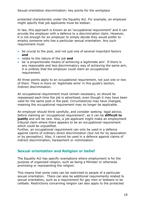protected characteristic under the Equality Act. For example, an employer might specify that job applicants must be lesbian.

In law, this approach is known as an 'occupational requirement' and it can provide the employer with a defence to a discrimination claim. However, it is not enough for an employer to simply decide they would prefer to employ someone who has a particular sexual orientation. Any such requirement must:

- be crucial to the post, and not just one of several important factors **and**
- relate to the nature of the job **and**
- be 'a proportionate means of achieving a legitimate aim'. If there is any reasonable and less discriminatory way of achieving the same aim, it is unlikely that the employer could claim an occupational requirement.

All three points apply to an occupational requirement, not just one or two of them. There is more on 'legitimate aims' in this guide's section, Indirect discrimination.

An occupational requirement must remain necessary, so should be reassessed each time the job is advertised, even though it may have been valid for the same post in the past. Circumstances may have changed, meaning the occupational requirement may no longer be applicable.

An employer should think carefully, and consider seeking legal advice, before claiming an 'occupational requirement', as it can be **difficult to justify** and will be rare. Also, a job applicant might make an employment tribunal claim where there appears to be an occupational requirement which could be unjustified.

Further, an occupational requirement can only be used in a defence against claims of ordinary direct discrimination (but not for by association or by perception). Also, it cannot be used in a defence against claims of indirect discrimination, harassment or victimisation.

## <span id="page-17-0"></span>**Sexual orientation and Religion or belief**

The Equality Act has specific exemptions where employment is for the purpose of organised religion, such as being a Minister or otherwise promoting or representing the religion.

This means that some roles can be restricted to people of a particular sexual orientation. There can also be additional requirements related to sexual orientation, such as a requirement for gay men or lesbians to be celibate. Restrictions concerning religion can also apply to the protected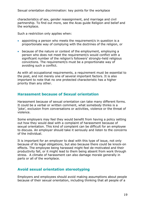characteristics of sex, gender reassignment, and marriage and civil partnership. To find out more, see the Acas guide Religion and belief and the workplace.

Such a restriction only applies when:

- appointing a person who meets the requirement/s in question is a proportionate way of complying with the doctrines of the religion, or
- because of the nature or context of the employment, employing a person who does not meet the requirement/s would conflict with a significant number of the religion's followers' strongly-held religious convictions. The requirement/s must be a proportionate way of avoiding such a conflict.

As with all occupational requirements, a requirement must be essential to the post, and not merely one of several important factors. It is also important to note that no one protected characteristic has a higher priority than any other.

## <span id="page-18-0"></span>**Harassment because of Sexual orientation**

Harassment because of sexual orientation can take many different forms. It could be a verbal or written comment, what somebody thinks is a 'joke', exclusion from conversations or activities, violence or the threat of violence.

Some employers may feel they would benefit from having a policy setting out how they would deal with a complaint of harassment because of sexual orientation. This kind of complaint can be difficult for an employee to discuss. An employer should take it seriously and listen to the concerns of the individual.

It is important for an employer to deal with this type of issue, not only because of its legal obligations, but also because there could be knock-on effects. The employee being harassed might feel de-motivated and their productivity fall, or it might lead to them being absent from work through stress. A climate of harassment can also damage morale generally in parts or all of the workplace.

## <span id="page-18-1"></span>**Avoid sexual orientation stereotyping**

Employers and employees should avoid making assumptions about people because of their sexual orientation, including thinking that all people of a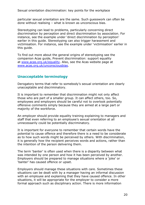particular sexual orientation are the same. Such guesswork can often be done without realising – what is known as unconscious bias.

Stereotyping can lead to problems, particularly concerning direct discrimination by perception and direct discrimination by association. For instance, see the example under 'direct discrimination by perception' earlier in this guide. Stereotyping can also trigger harassment and victimisation. For instance, see the example under 'victimisation' earlier in this guide.

To find out more about the general origins of stereotyping see the companion Acas guide, Prevent discrimination: support equality at [www.acas.org.uk/equality.](http://www.acas.org.uk/equality) Also, see the Acas website page at [www.acas.org.uk/unconsciousbias.](http://www.acas.org.uk/unconsciousbias)

## <span id="page-19-0"></span>**Unacceptable terminology**

Derogatory terms that refer to somebody's sexual orientation are clearly unacceptable and discriminatory.

It is important to remember that discrimination might not only affect those who are part of a smaller group. It can affect others, too. So, employees and employers should be careful not to overlook potentially offensive comments simply because they are aimed at a large part or majority of the workforce.

An employer should provide equality training explaining to managers and staff that even referring to an employee's sexual orientation at all unnecessarily could be potentially discriminatory.

It is important for everyone to remember that certain words have the potential to cause offence and therefore there is a need to be considerate as to how such words might be perceived by others. With discrimination, it is generally how the recipient perceives words and actions, rather than the intention of the person delivering them.

The term 'banter' is often used when there is a disparity between what was intended by one person and how it has been perceived by another. Employers should be prepared to manage situations where a 'joke' or 'banter' has caused offence or upset.

Employers should manage these situations with care. Sometimes these situations can be dealt with by a manager having an informal discussion with an employee and explaining that they have caused offence. In other situations, it will be appropriate for the employer to consider a more formal approach such as disciplinary action. There is more information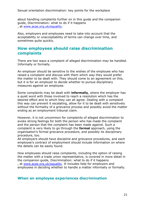about handling complaints further on in this guide and the companion guide, Discrimination: what to do if it happens , at [www.acas.org.uk/equality.](http://www.acas.org.uk/equality)

Also, employers and employees need to take into account that the acceptability or unacceptability of terms can change over time, and sometimes quite quickly.

## <span id="page-20-0"></span>**How employees should raise discrimination complaints**

There are two ways a complaint of alleged discrimination may be handled. Informally or formally.

An employer should be sensitive to the wishes of the employee who has raised a complaint and discuss with them which way they would prefer the matter to be dealt with. They should come to an agreement on this, but it is for an employer to decide whether to pursue disciplinary measures against an employee.

Some complaints may be dealt with **informally**, where the employer has a quiet word with those involved to reach a resolution which has the desired effect and to which they can all agree. Dealing with a complaint this way can prevent it escalating, allow for it to be dealt with sensitively without the formality of a grievance process and possibly avoid the matter ending as an employment tribunal claim.

However, it is not uncommon for complaints of alleged discrimination to evoke strong feelings for both the person who has made the complaint and the person that the complaint has been made against. Such a complaint is very likely to go through the **formal** approach, using the organisation's formal grievance procedure, and possibly its disciplinary procedure, too.

All employers should have discipline and grievance procedures, and each employee's contract of employment should include information on where the details can be easily found.

How employees should raise complaints, including the option of raising the matter with a trade union representative, is covered in more detail in the companion guide, Discrimination: what to do if it happens , at [www.acas.org.uk/equality.](http://www.acas.org.uk/equality) It includes help for employers and employees in deciding whether to handle a matter informally or formally.

## <span id="page-20-1"></span>**When an employee experiences discrimination**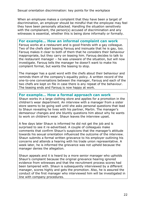When an employee makes a complaint that they have been a target of discrimination, an employer should be mindful that the employee may feel they have been personally attacked. Handling the situation sensitively with the complainant, the person(s) accused of discrimination and any witnesses is essential, whether this is being done informally or formally.

**For example… How an informal complaint can work** Farouq works at a restaurant and is good friends with a gay colleague. Two of the chefs start teasing Farouq and insinuate that he is gay, too. Farouq makes it clear to both of them that he considers their behaviour inappropriate, but they carry on teasing him. Farouq decides to talk to the restaurant manager – he was unaware of the situation, but will now investigate. Farouq tells the manager he doesn't want to make his complaint formal, but wants the teasing to stop.

The manager has a quiet word with the chefs about their behaviour and reminds them of the company's equality policy. A written record of the one-to-one conversations between the manager, Farouq and each of the two chefs are kept on file in case there is any repeat of the behaviour. The teasing ends and Farouq is now happy at work.

## **For example… How a formal approach can work**

Shaun works in a large clothing store and applies for a promotion in the children's wear department. An interview with a manager from a sister store seems to be going well until she asks personal questions that lead to Shaun revealing he lives with his partner, Martin. The manager's demeanour changes and she bluntly questions him about why he wants to work on children's wear. Shaun leaves the interview upset.

A few days later Shaun is informed he did not get the job and is surprised to see it re-advertised. A couple of colleagues make comments that confirm Shaun's suspicions that the manager's attitude towards his sexual orientation influenced the outcome of the interview. Shaun submits a formal written grievance to his employer outlining his concerns and attends a hearing with his trade union representative. A week later, he is informed the grievance was not upheld because the manager denies the allegation.

Shaun appeals and it is heard by a more senior manager who upholds Shaun's complaint because the original grievance hearing ignored evidence from witnesses and that the recruitment process scores had been tampered with. Shaun is subsequently interviewed by a different manager, scores highly and gets the promotion. Also, he is assured the conduct of the first manager who interviewed him will be investigated in line with company procedures.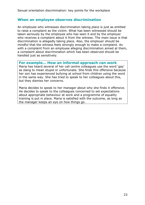## <span id="page-22-0"></span>**When an employee observes discrimination**

An employee who witnesses discrimination taking place is just as entitled to raise a complaint as the victim. What has been witnessed should be taken seriously by the employee who has seen it and by the employer who receives a complaint about it from the witness. The main issue is that discrimination is allegedly taking place. Also, the employer should be mindful that the witness feels strongly enough to make a complaint. As with a complaint from an employee alleging discrimination aimed at them, a complaint about discrimination which has been observed should be handled just as sensitively.

#### **For example… How an informal approach can work**

Maria has heard several of her call centre colleagues use the word 'gay' as slang to mean stupid or unfortunate. She finds this offensive because her son has experienced bullying at school from children using the word in the same way. She has tried to speak to her colleagues about this, but they dismiss her concerns.

Maria decides to speak to her manager about why she finds it offensive. He decides to speak to the colleagues concerned to set expectations about appropriate behaviour at work and a programme of equality training is put in place. Maria is satisfied with the outcome, as long as the manager keeps an eye on how things go.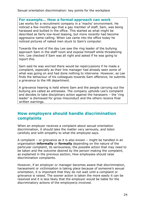## **For example… How a formal approach can work**

Lee works for a recruitment company in a 'macho' environment. He noticed a few months ago that a gay member of staff, Sam, was being harassed and bullied in the office. This started as what might be described as fairly low-level teasing, but more recently had become aggressive name-calling. When Lee came into the office today he noticed pictures of naked men stuck to Sam's computer.

Towards the end of the day Lee saw the ring leader of the bullying approach Sam in the staff room and expose himself while threatening him. Lee checked if Sam was all right and asked if he was going to report this.

Sam said he was worried there would be repercussions if he made a complaint, especially as their line manager had already seen some of what was going on and had done nothing to intervene. However, as Lee finds the behaviour of his colleagues towards Sam offensive, he submits a grievance to the HR department.

A grievance hearing is held where Sam and the people carrying out the bullying are called as witnesses. The company upholds Lee's complaint and decides to take disciplinary action against the harassers – the 'ring leader' is dismissed for gross misconduct and the others receive final written warnings.

## <span id="page-23-0"></span>**How employers should handle discrimination complaints**

When an employer receives a complaint about sexual orientation discrimination, it should take the matter very seriously, and listen carefully and with empathy to what the employee says.

A complaint – or grievance as it is also known – might be handled in an organisation **informally** or **formally** depending on the nature of the particular complaint, its seriousness, the possible action that may need to be taken and the outcome desired by the person making the complaint, as explained in the previous section, How employees should raise discrimination complaints.

However, if an employer or manager becomes aware that discrimination, harassment or victimisation is taking place because of someone's sexual orientation, it is important that they do not wait until a complaint or grievance is raised. The sooner action is taken the more easily it can be resolved and it is less likely that the employer would be liable for the discriminatory actions of the employee\s involved.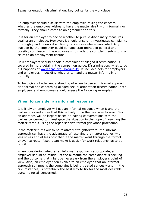An employer should discuss with the employee raising the concern whether the employee wishes to have the matter dealt with informally or formally. They should come to an agreement on this.

It is for an employer to decide whether to pursue disciplinary measures against an employee. However, it should ensure it investigates complaints thoroughly and follows disciplinary procedures where warranted. Any inaction by the employer could damage staff morale in general and possibly culminate in the employee who made the complaint submitting a claim to an employment tribunal.

How employers should handle a complaint of alleged discrimination is covered in more detail in the companion guide, Discrimination: what to do if it happens at [www.acas.org.uk/equality.](http://www.acas.org.uk/equality) It includes help for employers and employees in deciding whether to handle a matter informally or formally.

To help give a better understanding of when to use an informal approach or a formal one concerning alleged sexual orientation discrimination, both employers and employees should assess the following examples.

## <span id="page-24-0"></span>**When to consider an informal response**

It is likely an employer will use an informal response when it and the parties involved agree that this is likely to be the best way forward. Such an approach will be largely based on having conversations with the parties concerned to investigate the situation in the hope of resolving the matter without using the organisation's formal grievance procedure.

If the matter turns out to be relatively straightforward, the informal approach can have the advantage of resolving the matter sooner, with less stress and at less cost than if the matter went through the formal grievance route. Also, it can make it easier for work relationships to be rebuilt.

When considering whether an informal response is appropriate, an employer should be mindful of the outcome the complainant is seeking and the outcome that might be necessary from the employer's point of view. Also, an employer can explain to an employee that an informal approach still means the complaint is being treated seriously and, in the circumstances, is potentially the best way to try for the most desirable outcome for all concerned.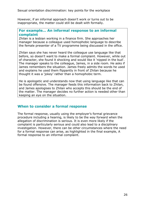However, if an informal approach doesn't work or turns out to be inappropriate, the matter could still be dealt with formally.

#### **For example… An informal response to an informal complaint**

Zhilan is a lesbian working in a finance firm. She approaches her manager because a colleague used homophobic language to describe the female presenter of a TV programme being discussed in the office.

Zhilan says she has never heard the colleague use language like that before, so doesn't want to make a formal complaint. However, while out of character, she found it shocking and would like it 'nipped in the bud'. The manager speaks to the colleague, James, in a side room. He asks if James remembers the situation. James freely admits the words he used and explains he used them flippantly in front of Zhilan because he thought it was a 'jokey' rather than a homophobic term.

He is apologetic and understands now that using language like that can be found offensive. The manager feeds this information back to Zhilan, and James apologises to Zhilan who accepts this should be the end of the matter. The manager decides no further action is needed other than keeping an eye on the situation.

## <span id="page-25-0"></span>**When to consider a formal response**

The formal response, usually using the employer's formal grievance procedure including a hearing, is likely to be the way forward when the allegation of discrimination is serious. It is even more likely if the complaint is particularly serious and could also lead to a disciplinary investigation. However, there can be other circumstances where the need for a formal response can arise, as highlighted in the final example, A formal response to an informal complaint.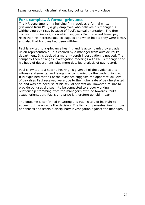#### **For example… A formal grievance**

The HR department in a building firm receives a formal written grievance from Paul, a gay employee who believes his manager is withholding pay rises because of Paul's sexual orientation. The firm carries out an investigation which suggests Paul received fewer pay rises than his heterosexual colleagues and when he did they were lower, and also that bonuses had been withheld.

Paul is invited to a grievance hearing and is accompanied by a trade union representative. It is chaired by a manager from outside Paul's department. It is decided a more in-depth investigation is needed. The company then arranges investigation meetings with Paul's manager and his head of department, plus more detailed analysis of pay records.

Paul is invited to a second hearing, is given all of the evidence and witness statements, and is again accompanied by the trade union rep. It is explained that all of the evidence suggests the apparent low level of pay rises Paul received were due to the higher rate of pay he started on and was not because of his sexual orientation. However, failure to provide bonuses did seem to be connected to a poor working relationship stemming from the manager's attitude towards Paul's sexual orientation. Paul's grievance is therefore upheld in part.

The outcome is confirmed in writing and Paul is told of his right to appeal, but he accepts the decision. The firm compensates Paul for loss of bonuses and starts a disciplinary investigation against the manager.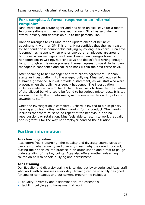## **For example… A formal response to an informal complaint**

Nina works for an estate agent and has been on sick leave for a month. In conversations with her manager, Hannah, Nina has said she has stress, anxiety and depression due to her personal life.

Hannah arranges to call Nina for an update ahead of her next appointment with her GP. This time, Nina confides that the real reason for her condition is homophobic bullying by colleague Richard. Nina says it sometimes happens when one or two other employees are around, but never when managers are there. Hannah encourages Nina to put her complaint in writing, but Nina says she doesn't feel strong enough to go through a grievance process. Hannah agrees to speak to her own manager in confidence and call Nina back within the next three days.

After speaking to her manager and with Nina's agreement, Hannah starts an investigation into the alleged bullying. Nina isn't required to submit a grievance, but will provide a statement, as will staff who were present when the bullying allegedly happened. The investigation includes evidence from Richard. Hannah explains to Nina that the nature of the alleged bullying could be found to be serious misconduct. It is too serious to be dealt with informally, as the employer has a duty of care towards its staff.

Once the investigation is complete, Richard is invited to a disciplinary hearing and given a final written warning for his conduct. The warning includes that there must be no repeat of the behaviour, and no repercussions or retaliation. Nina feels able to return to work gradually and is grateful for the way her employer handled the situation.

# <span id="page-27-0"></span>**Further information**

#### **Acas learning online**

Acas offers free E-Learning. The Equality and diversity course gives an overview of what equality and diversity mean, why they are important, putting the principles into practice in an organisation and a test to gauge understanding of the key points. Acas also offers another e-learning course on how to handle bullying and harassment.

## **Acas training**

Our Equality and diversity training is carried out by experienced Acas staff who work with businesses every day. Training can be specially designed for smaller companies and our current programme includes:

- equality, diversity and discrimination: the essentials
- tackling bullying and harassment at work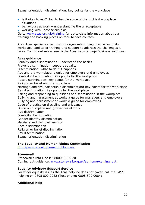- is it okay to ask? How to handle some of the trickiest workplace situations
- behaviours at work understanding the unacceptable
- working with unconscious bias

Go to [www.acas.org.uk/training](http://www.acas.org.uk/training) for up-to-date information about our training and booking places on face-to-face courses.

Also, Acas specialists can visit an organisation, diagnose issues in its workplace, and tailor training and support to address the challenges it faces. To find out more, see to the Acas website page Business solutions.

#### **Acas guidance**

Equality and discrimination: understand the basics Prevent discrimination: support equality Discrimination: what to do if it happens Age and the workplace: a guide for employers and employees Disability discrimination: key points for the workplace Race discrimination: key points for the workplace Religion or belief and the workplace Marriage and civil partnership discrimination: key points for the workplace Sex discrimination: key points for the workplace Asking and responding to questions of discrimination in the workplace Bullying and harassment at work: a guide for managers and employers Bullying and harassment at work: a guide for employees Code of practice on discipline and grievance Guide on discipline and grievances at work Age discrimination Disability discrimination Gender identity discrimination Marriage and civil partnerships Race discrimination Religion or belief discrimination Sex discrimination Sexual orientation discrimination

#### **The Equality and Human Rights Commission**

<http://www.equalityhumanrights.com/>

#### **Stonewall**

Stonewall's Info Line is 08000 50 20 20 Coming out guidance: [www.stonewall.org.uk/at\\_home/coming\\_out](http://www.stonewall.org.uk/at_home/coming_out)

#### **Equality Advisory Support Service**

For wider equality issues the Acas helpline does not cover, call the EASS helpline on 0808 800 0082 (Text phone: 0808 800 0084)

## **Additional help**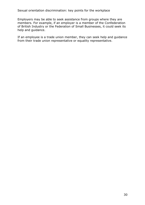Employers may be able to seek assistance from groups where they are members. For example, if an employer is a member of the Confederation of British Industry or the Federation of Small Businesses, it could seek its help and guidance.

If an employee is a trade union member, they can seek help and guidance from their trade union representative or equality representative.